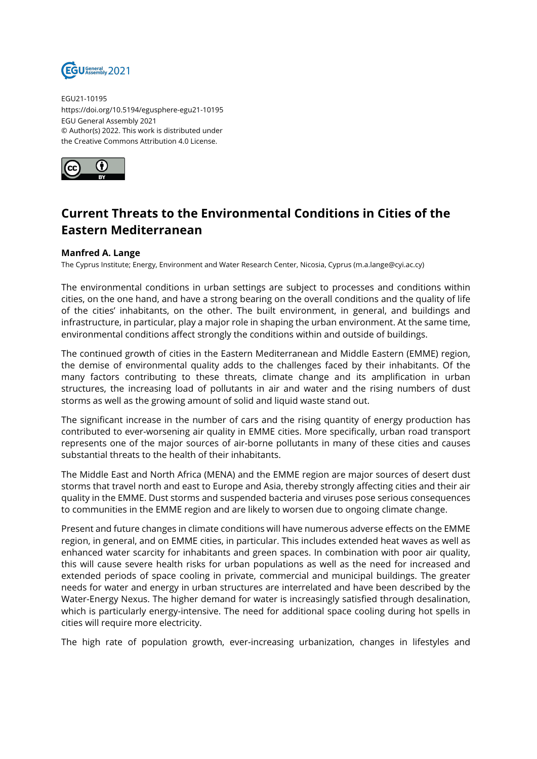

EGU21-10195 https://doi.org/10.5194/egusphere-egu21-10195 EGU General Assembly 2021 © Author(s) 2022. This work is distributed under the Creative Commons Attribution 4.0 License.



## **Current Threats to the Environmental Conditions in Cities of the Eastern Mediterranean**

## **Manfred A. Lange**

The Cyprus Institute; Energy, Environment and Water Research Center, Nicosia, Cyprus (m.a.lange@cyi.ac.cy)

The environmental conditions in urban settings are subject to processes and conditions within cities, on the one hand, and have a strong bearing on the overall conditions and the quality of life of the cities' inhabitants, on the other. The built environment, in general, and buildings and infrastructure, in particular, play a major role in shaping the urban environment. At the same time, environmental conditions affect strongly the conditions within and outside of buildings.

The continued growth of cities in the Eastern Mediterranean and Middle Eastern (EMME) region, the demise of environmental quality adds to the challenges faced by their inhabitants. Of the many factors contributing to these threats, climate change and its amplification in urban structures, the increasing load of pollutants in air and water and the rising numbers of dust storms as well as the growing amount of solid and liquid waste stand out.

The significant increase in the number of cars and the rising quantity of energy production has contributed to ever-worsening air quality in EMME cities. More specifically, urban road transport represents one of the major sources of air-borne pollutants in many of these cities and causes substantial threats to the health of their inhabitants.

The Middle East and North Africa (MENA) and the EMME region are major sources of desert dust storms that travel north and east to Europe and Asia, thereby strongly affecting cities and their air quality in the EMME. Dust storms and suspended bacteria and viruses pose serious consequences to communities in the EMME region and are likely to worsen due to ongoing climate change.

Present and future changes in climate conditions will have numerous adverse effects on the EMME region, in general, and on EMME cities, in particular. This includes extended heat waves as well as enhanced water scarcity for inhabitants and green spaces. In combination with poor air quality, this will cause severe health risks for urban populations as well as the need for increased and extended periods of space cooling in private, commercial and municipal buildings. The greater needs for water and energy in urban structures are interrelated and have been described by the Water-Energy Nexus. The higher demand for water is increasingly satisfied through desalination, which is particularly energy-intensive. The need for additional space cooling during hot spells in cities will require more electricity.

The high rate of population growth, ever-increasing urbanization, changes in lifestyles and